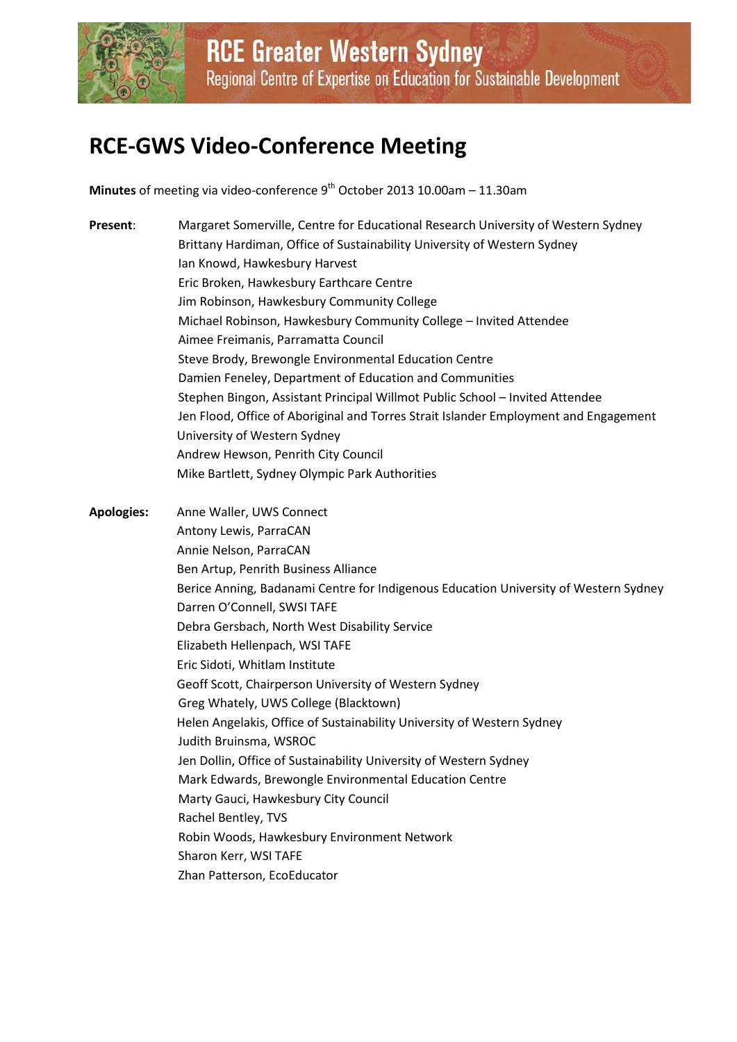

**RCE Greater Western Sydney** Regional Centre of Expertise on Education for Sustainable Development

# **RCE-GWS Video-Conference Meeting**

**Minutes** of meeting via video-conference 9 th October 2013 10.00am – 11.30am

- **Present**: Margaret Somerville, Centre for Educational Research University of Western Sydney Brittany Hardiman, Office of Sustainability University of Western Sydney Ian Knowd, Hawkesbury Harvest Eric Broken, Hawkesbury Earthcare Centre Jim Robinson, Hawkesbury Community College Michael Robinson, Hawkesbury Community College – Invited Attendee Aimee Freimanis, Parramatta Council Steve Brody, Brewongle Environmental Education Centre Damien Feneley, Department of Education and Communities Stephen Bingon, Assistant Principal Willmot Public School – Invited Attendee Jen Flood, Office of Aboriginal and Torres Strait Islander Employment and Engagement University of Western Sydney Andrew Hewson, Penrith City Council Mike Bartlett, Sydney Olympic Park Authorities
- **Apologies:** Anne Waller, UWS Connect Antony Lewis, ParraCAN Annie Nelson, ParraCAN Ben Artup, Penrith Business Alliance Berice Anning, Badanami Centre for Indigenous Education University of Western Sydney Darren O'Connell, SWSI TAFE Debra Gersbach, North West Disability Service Elizabeth Hellenpach, WSI TAFE Eric Sidoti, Whitlam Institute Geoff Scott, Chairperson University of Western Sydney Greg Whately, UWS College (Blacktown) Helen Angelakis, Office of Sustainability University of Western Sydney Judith Bruinsma, WSROC Jen Dollin, Office of Sustainability University of Western Sydney Mark Edwards, Brewongle Environmental Education Centre Marty Gauci, Hawkesbury City Council Rachel Bentley, TVS Robin Woods, Hawkesbury Environment Network Sharon Kerr, WSI TAFE Zhan Patterson, EcoEducator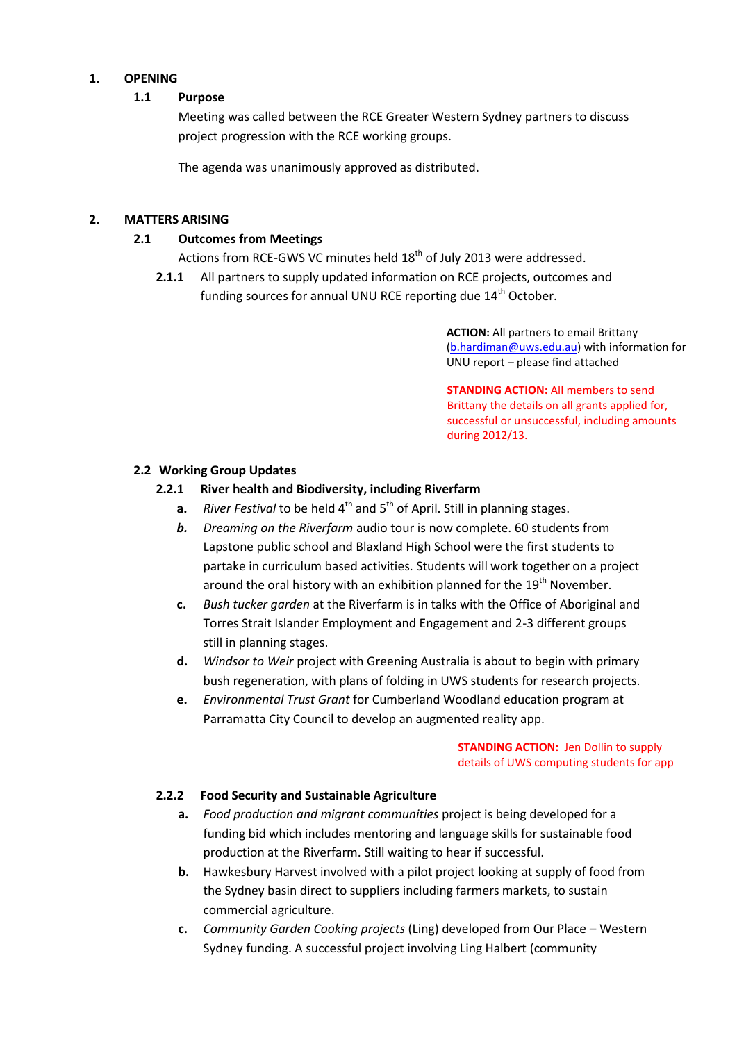#### **1. OPENING**

#### **1.1 Purpose**

Meeting was called between the RCE Greater Western Sydney partners to discuss project progression with the RCE working groups.

The agenda was unanimously approved as distributed.

#### **2. MATTERS ARISING**

#### **2.1 Outcomes from Meetings**

- Actions from RCE-GWS VC minutes held 18<sup>th</sup> of July 2013 were addressed.
- **2.1.1** All partners to supply updated information on RCE projects, outcomes and funding sources for annual UNU RCE reporting due 14<sup>th</sup> October.

**ACTION:** All partners to email Brittany [\(b.hardiman@uws.edu.au\)](mailto:b.hardiman@uws.edu.au) with information for UNU report – please find attached

**STANDING ACTION: All members to send** Brittany the details on all grants applied for, successful or unsuccessful, including amounts during 2012/13.

#### **2.2 Working Group Updates**

#### **2.2.1 River health and Biodiversity, including Riverfarm**

- **a.** *River Festival* to be held 4<sup>th</sup> and 5<sup>th</sup> of April. Still in planning stages.
- *b. Dreaming on the Riverfarm* audio tour is now complete. 60 students from Lapstone public school and Blaxland High School were the first students to partake in curriculum based activities. Students will work together on a project around the oral history with an exhibition planned for the  $19<sup>th</sup>$  November.
- **c.** *Bush tucker garden* at the Riverfarm is in talks with the Office of Aboriginal and Torres Strait Islander Employment and Engagement and 2-3 different groups still in planning stages.
- **d.** *Windsor to Weir* project with Greening Australia is about to begin with primary bush regeneration, with plans of folding in UWS students for research projects.
- **e.** *Environmental Trust Grant* for Cumberland Woodland education program at Parramatta City Council to develop an augmented reality app.

**STANDING ACTION:** Jen Dollin to supply details of UWS computing students for app

#### **2.2.2 Food Security and Sustainable Agriculture**

- **a.** *Food production and migrant communities* project is being developed for a funding bid which includes mentoring and language skills for sustainable food production at the Riverfarm. Still waiting to hear if successful.
- **b.** Hawkesbury Harvest involved with a pilot project looking at supply of food from the Sydney basin direct to suppliers including farmers markets, to sustain commercial agriculture.
- **c.** *Community Garden Cooking projects* (Ling) developed from Our Place Western Sydney funding. A successful project involving Ling Halbert (community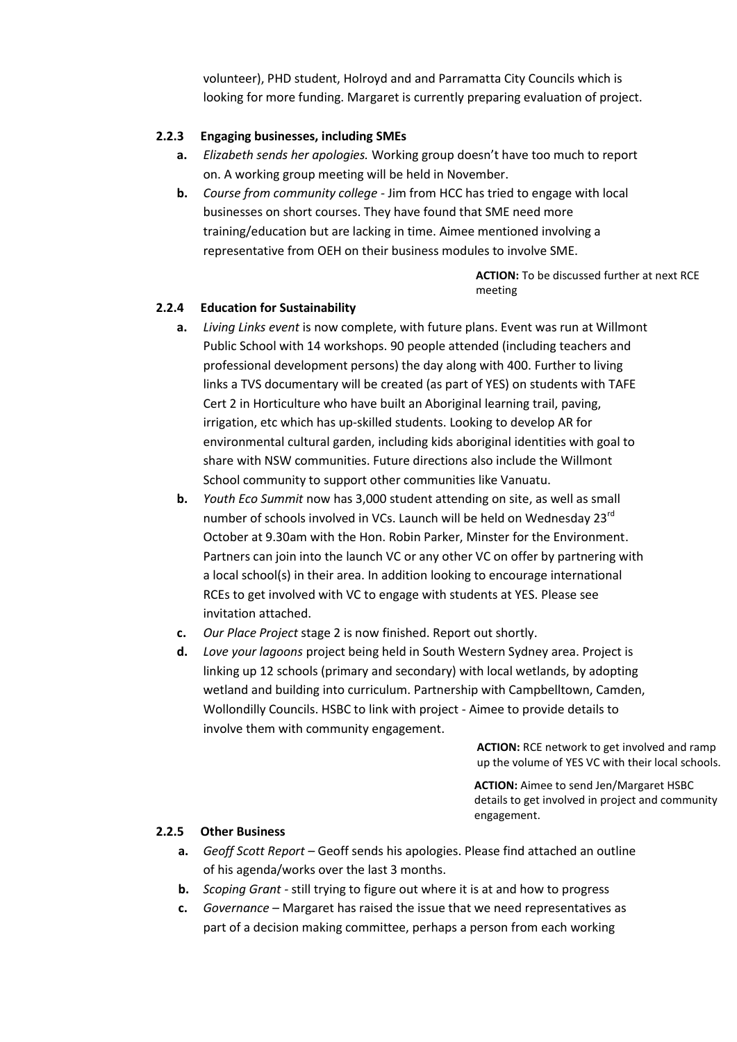volunteer), PHD student, Holroyd and and Parramatta City Councils which is looking for more funding. Margaret is currently preparing evaluation of project.

## **2.2.3 Engaging businesses, including SMEs**

- **a.** *Elizabeth sends her apologies.* Working group doesn't have too much to report on. A working group meeting will be held in November.
- **b.** *Course from community college -* Jim from HCC has tried to engage with local businesses on short courses. They have found that SME need more training/education but are lacking in time. Aimee mentioned involving a representative from OEH on their business modules to involve SME.

**ACTION:** To be discussed further at next RCE meeting

## **2.2.4 Education for Sustainability**

- **a.** *Living Links event* is now complete, with future plans. Event was run at Willmont Public School with 14 workshops. 90 people attended (including teachers and professional development persons) the day along with 400. Further to living links a TVS documentary will be created (as part of YES) on students with TAFE Cert 2 in Horticulture who have built an Aboriginal learning trail, paving, irrigation, etc which has up-skilled students. Looking to develop AR for environmental cultural garden, including kids aboriginal identities with goal to share with NSW communities. Future directions also include the Willmont School community to support other communities like Vanuatu.
- **b.** *Youth Eco Summit* now has 3,000 student attending on site, as well as small number of schools involved in VCs. Launch will be held on Wednesday 23<sup>rd</sup> October at 9.30am with the Hon. Robin Parker, Minster for the Environment. Partners can join into the launch VC or any other VC on offer by partnering with a local school(s) in their area. In addition looking to encourage international RCEs to get involved with VC to engage with students at YES. Please see invitation attached.
- **c.** *Our Place Project* stage 2 is now finished. Report out shortly.
- **d.** *Love your lagoons* project being held in South Western Sydney area. Project is linking up 12 schools (primary and secondary) with local wetlands, by adopting wetland and building into curriculum. Partnership with Campbelltown, Camden, Wollondilly Councils. HSBC to link with project - Aimee to provide details to involve them with community engagement.

**ACTION:** RCE network to get involved and ramp up the volume of YES VC with their local schools.

**ACTION:** Aimee to send Jen/Margaret HSBC details to get involved in project and community engagement.

## **2.2.5 Other Business**

- **a.** *Geoff Scott Report –* Geoff sends his apologies. Please find attached an outline of his agenda/works over the last 3 months.
- **b.** *Scoping Grant -* still trying to figure out where it is at and how to progress
- **c.** *Governance –* Margaret has raised the issue that we need representatives as part of a decision making committee, perhaps a person from each working